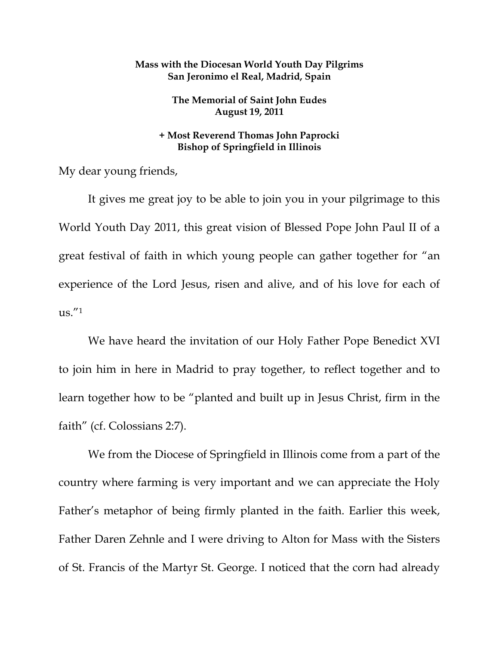## **Mass with the Diocesan World Youth Day Pilgrims San Jeronimo el Real, Madrid, Spain**

## **The Memorial of Saint John Eudes August 19, 2011**

## **+ Most Reverend Thomas John Paprocki Bishop of Springfield in Illinois**

My dear young friends,

 It gives me great joy to be able to join you in your pilgrimage to this World Youth Day 2011, this great vision of Blessed Pope John Paul II of a great festival of faith in which young people can gather together for "an experience of the Lord Jesus, risen and alive, and of his love for each of  $\text{us.}''^1$ 

 We have heard the invitation of our Holy Father Pope Benedict XVI to join him in here in Madrid to pray together, to reflect together and to learn together how to be "planted and built up in Jesus Christ, firm in the faith" (cf. Colossians 2:7).

 We from the Diocese of Springfield in Illinois come from a part of the country where farming is very important and we can appreciate the Holy Father's metaphor of being firmly planted in the faith. Earlier this week, Father Daren Zehnle and I were driving to Alton for Mass with the Sisters of St. Francis of the Martyr St. George. I noticed that the corn had already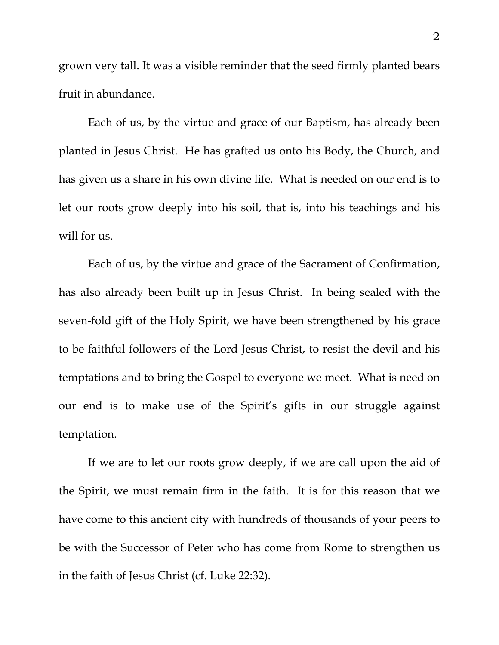grown very tall. It was a visible reminder that the seed firmly planted bears fruit in abundance.

Each of us, by the virtue and grace of our Baptism, has already been planted in Jesus Christ. He has grafted us onto his Body, the Church, and has given us a share in his own divine life. What is needed on our end is to let our roots grow deeply into his soil, that is, into his teachings and his will for us.

Each of us, by the virtue and grace of the Sacrament of Confirmation, has also already been built up in Jesus Christ. In being sealed with the seven-fold gift of the Holy Spirit, we have been strengthened by his grace to be faithful followers of the Lord Jesus Christ, to resist the devil and his temptations and to bring the Gospel to everyone we meet. What is need on our end is to make use of the Spirit's gifts in our struggle against temptation.

 If we are to let our roots grow deeply, if we are call upon the aid of the Spirit, we must remain firm in the faith. It is for this reason that we have come to this ancient city with hundreds of thousands of your peers to be with the Successor of Peter who has come from Rome to strengthen us in the faith of Jesus Christ (cf. Luke 22:32).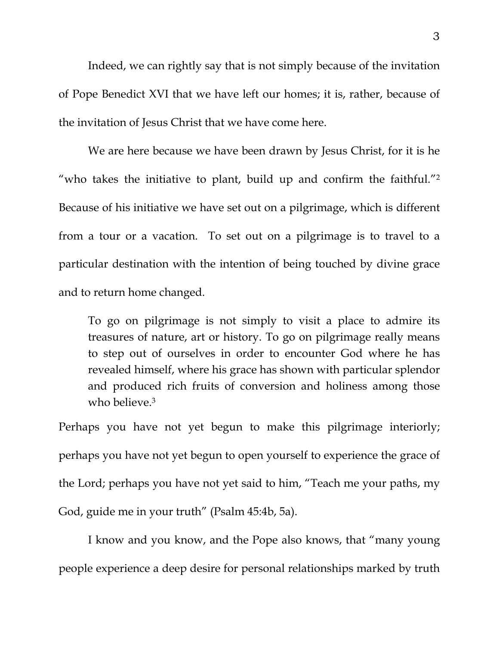Indeed, we can rightly say that is not simply because of the invitation of Pope Benedict XVI that we have left our homes; it is, rather, because of the invitation of Jesus Christ that we have come here.

 We are here because we have been drawn by Jesus Christ, for it is he "who takes the initiative to plant, build up and confirm the faithful."2 Because of his initiative we have set out on a pilgrimage, which is different from a tour or a vacation. To set out on a pilgrimage is to travel to a particular destination with the intention of being touched by divine grace and to return home changed.

To go on pilgrimage is not simply to visit a place to admire its treasures of nature, art or history. To go on pilgrimage really means to step out of ourselves in order to encounter God where he has revealed himself, where his grace has shown with particular splendor and produced rich fruits of conversion and holiness among those who believe.<sup>3</sup>

Perhaps you have not yet begun to make this pilgrimage interiorly; perhaps you have not yet begun to open yourself to experience the grace of the Lord; perhaps you have not yet said to him, "Teach me your paths, my God, guide me in your truth" (Psalm 45:4b, 5a).

 I know and you know, and the Pope also knows, that "many young people experience a deep desire for personal relationships marked by truth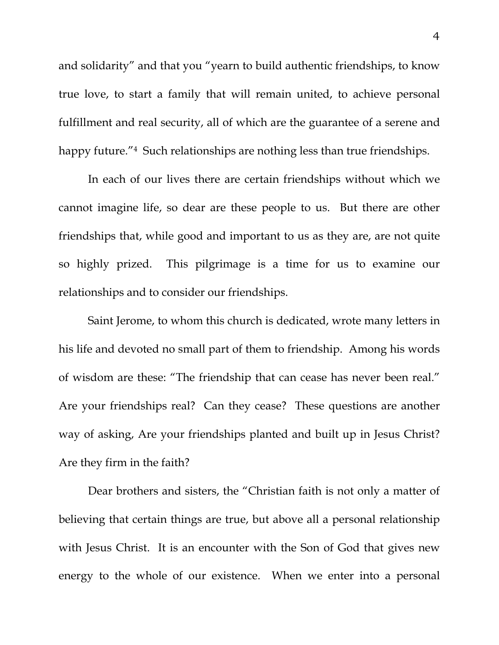and solidarity" and that you "yearn to build authentic friendships, to know true love, to start a family that will remain united, to achieve personal fulfillment and real security, all of which are the guarantee of a serene and happy future."4 Such relationships are nothing less than true friendships.

 In each of our lives there are certain friendships without which we cannot imagine life, so dear are these people to us. But there are other friendships that, while good and important to us as they are, are not quite so highly prized. This pilgrimage is a time for us to examine our relationships and to consider our friendships.

 Saint Jerome, to whom this church is dedicated, wrote many letters in his life and devoted no small part of them to friendship. Among his words of wisdom are these: "The friendship that can cease has never been real." Are your friendships real? Can they cease? These questions are another way of asking, Are your friendships planted and built up in Jesus Christ? Are they firm in the faith?

 Dear brothers and sisters, the "Christian faith is not only a matter of believing that certain things are true, but above all a personal relationship with Jesus Christ. It is an encounter with the Son of God that gives new energy to the whole of our existence. When we enter into a personal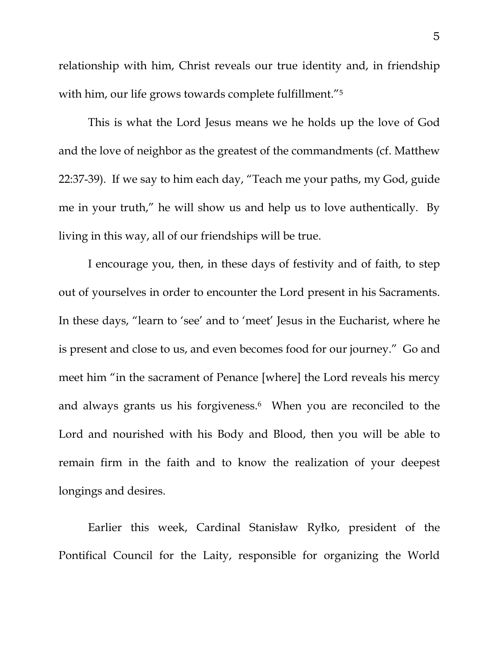relationship with him, Christ reveals our true identity and, in friendship with him, our life grows towards complete fulfillment."<sup>5</sup>

 This is what the Lord Jesus means we he holds up the love of God and the love of neighbor as the greatest of the commandments (cf. Matthew 22:37-39). If we say to him each day, "Teach me your paths, my God, guide me in your truth," he will show us and help us to love authentically. By living in this way, all of our friendships will be true.

 I encourage you, then, in these days of festivity and of faith, to step out of yourselves in order to encounter the Lord present in his Sacraments. In these days, "learn to 'see' and to 'meet' Jesus in the Eucharist, where he is present and close to us, and even becomes food for our journey." Go and meet him "in the sacrament of Penance [where] the Lord reveals his mercy and always grants us his forgiveness.<sup>6</sup> When you are reconciled to the Lord and nourished with his Body and Blood, then you will be able to remain firm in the faith and to know the realization of your deepest longings and desires.

Earlier this week, Cardinal Stanisław Ryłko, president of the Pontifical Council for the Laity, responsible for organizing the World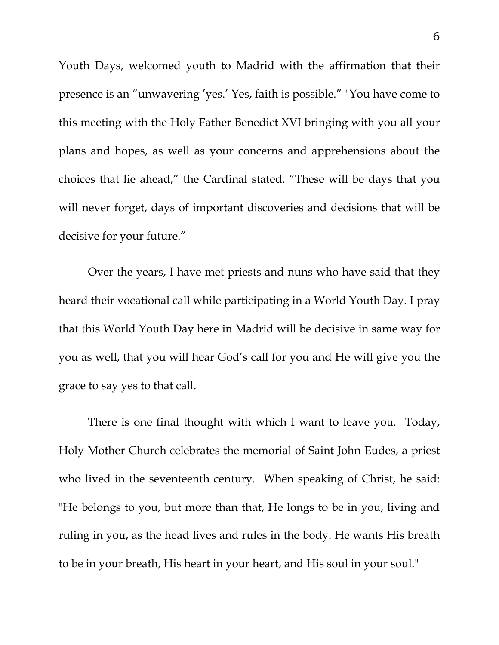Youth Days, welcomed youth to Madrid with the affirmation that their presence is an "unwavering 'yes.' Yes, faith is possible." "You have come to this meeting with the Holy Father Benedict XVI bringing with you all your plans and hopes, as well as your concerns and apprehensions about the choices that lie ahead," the Cardinal stated. "These will be days that you will never forget, days of important discoveries and decisions that will be decisive for your future."

 Over the years, I have met priests and nuns who have said that they heard their vocational call while participating in a World Youth Day. I pray that this World Youth Day here in Madrid will be decisive in same way for you as well, that you will hear God's call for you and He will give you the grace to say yes to that call.

There is one final thought with which I want to leave you. Today, Holy Mother Church celebrates the memorial of Saint John Eudes, a priest who lived in the seventeenth century. When speaking of Christ, he said: "He belongs to you, but more than that, He longs to be in you, living and ruling in you, as the head lives and rules in the body. He wants His breath to be in your breath, His heart in your heart, and His soul in your soul."